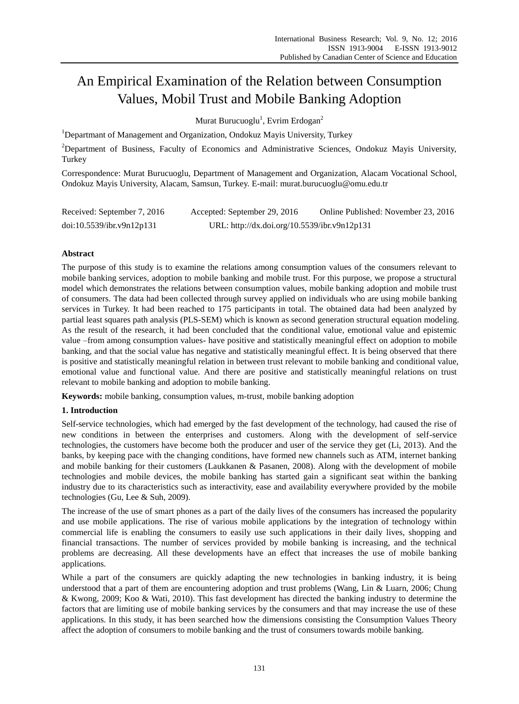# An Empirical Examination of the Relation between Consumption Values, Mobil Trust and Mobile Banking Adoption

Murat Burucuoglu<sup>1</sup>, Evrim Erdogan<sup>2</sup>

<sup>1</sup>Departmant of Management and Organization, Ondokuz Mayis University, Turkey

<sup>2</sup>Department of Business, Faculty of Economics and Administrative Sciences, Ondokuz Mayis University, Turkey

Correspondence: Murat Burucuoglu, Department of Management and Organization, Alacam Vocational School, Ondokuz Mayis University, Alacam, Samsun, Turkey. E-mail: murat.burucuoglu@omu.edu.tr

| Received: September 7, 2016 | Accepted: September 29, 2016                 | Online Published: November 23, 2016 |
|-----------------------------|----------------------------------------------|-------------------------------------|
| doi:10.5539/ibr.v9n12p131   | URL: http://dx.doi.org/10.5539/ibr.v9n12p131 |                                     |

# **Abstract**

The purpose of this study is to examine the relations among consumption values of the consumers relevant to mobile banking services, adoption to mobile banking and mobile trust. For this purpose, we propose a structural model which demonstrates the relations between consumption values, mobile banking adoption and mobile trust of consumers. The data had been collected through survey applied on individuals who are using mobile banking services in Turkey. It had been reached to 175 participants in total. The obtained data had been analyzed by partial least squares path analysis (PLS-SEM) which is known as second generation structural equation modeling. As the result of the research, it had been concluded that the conditional value, emotional value and epistemic value –from among consumption values- have positive and statistically meaningful effect on adoption to mobile banking, and that the social value has negative and statistically meaningful effect. It is being observed that there is positive and statistically meaningful relation in between trust relevant to mobile banking and conditional value, emotional value and functional value. And there are positive and statistically meaningful relations on trust relevant to mobile banking and adoption to mobile banking.

**Keywords:** mobile banking, consumption values, m-trust, mobile banking adoption

# **1. Introduction**

Self-service technologies, which had emerged by the fast development of the technology, had caused the rise of new conditions in between the enterprises and customers. Along with the development of self-service technologies, the customers have become both the producer and user of the service they get (Li, 2013). And the banks, by keeping pace with the changing conditions, have formed new channels such as ATM, internet banking and mobile banking for their customers (Laukkanen & Pasanen, 2008). Along with the development of mobile technologies and mobile devices, the mobile banking has started gain a significant seat within the banking industry due to its characteristics such as interactivity, ease and availability everywhere provided by the mobile technologies (Gu, Lee & Suh, 2009).

The increase of the use of smart phones as a part of the daily lives of the consumers has increased the popularity and use mobile applications. The rise of various mobile applications by the integration of technology within commercial life is enabling the consumers to easily use such applications in their daily lives, shopping and financial transactions. The number of services provided by mobile banking is increasing, and the technical problems are decreasing. All these developments have an effect that increases the use of mobile banking applications.

While a part of the consumers are quickly adapting the new technologies in banking industry, it is being understood that a part of them are encountering adoption and trust problems (Wang, Lin & Luarn, 2006; Chung & Kwong, 2009; Koo & Wati, 2010). This fast development has directed the banking industry to determine the factors that are limiting use of mobile banking services by the consumers and that may increase the use of these applications. In this study, it has been searched how the dimensions consisting the Consumption Values Theory affect the adoption of consumers to mobile banking and the trust of consumers towards mobile banking.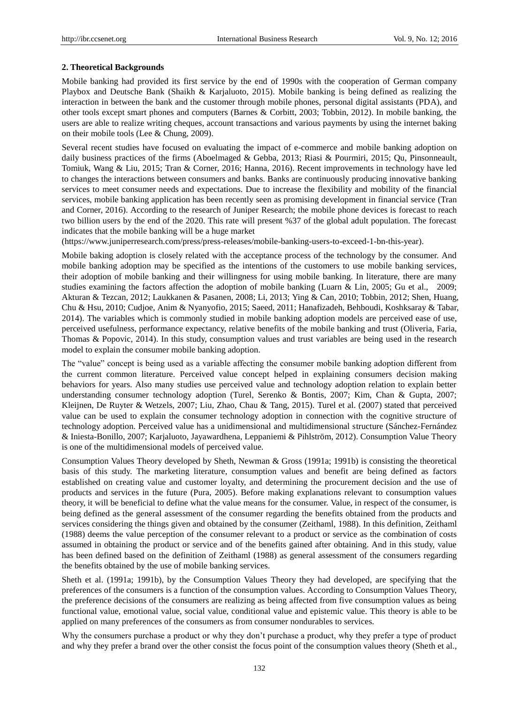## **2. Theoretical Backgrounds**

Mobile banking had provided its first service by the end of 1990s with the cooperation of German company Playbox and Deutsche Bank (Shaikh & Karjaluoto, 2015). Mobile banking is being defined as realizing the interaction in between the bank and the customer through mobile phones, personal digital assistants (PDA), and other tools except smart phones and computers (Barnes & Corbitt, 2003; Tobbin, 2012). In mobile banking, the users are able to realize writing cheques, account transactions and various payments by using the internet baking on their mobile tools (Lee & Chung, 2009).

Several recent studies have focused on evaluating the impact of e-commerce and mobile banking adoption on daily business practices of the firms (Aboelmaged & Gebba, 2013; Riasi & Pourmiri, 2015; Qu, Pinsonneault, Tomiuk, Wang & Liu, 2015; Tran & Corner, 2016; Hanna, 2016). Recent improvements in technology have led to changes the interactions between consumers and banks. Banks are continuously producing innovative banking services to meet consumer needs and expectations. Due to increase the flexibility and mobility of the financial services, mobile banking application has been recently seen as promising development in financial service (Tran and Corner, 2016). According to the research of Juniper Research; the mobile phone devices is forecast to reach two billion users by the end of the 2020. This rate will present %37 of the global adult population. The forecast indicates that the mobile banking will be a huge market

(https://www.juniperresearch.com/press/press-releases/mobile-banking-users-to-exceed-1-bn-this-year).

Mobile baking adoption is closely related with the acceptance process of the technology by the consumer. And mobile banking adoption may be specified as the intentions of the customers to use mobile banking services, their adoption of mobile banking and their willingness for using mobile banking. In literature, there are many studies examining the factors affection the adoption of mobile banking (Luarn & Lin, 2005; Gu et al., 2009; Akturan & Tezcan, 2012; Laukkanen & Pasanen, 2008; Li, 2013; Ying & Can, 2010; Tobbin, 2012; Shen, Huang, Chu & Hsu, 2010; Cudjoe, Anim & Nyanyofio, 2015; Saeed, 2011; Hanafizadeh, Behboudi, Koshksaray & Tabar, 2014). The variables which is commonly studied in mobile banking adoption models are perceived ease of use, perceived usefulness, performance expectancy, relative benefits of the mobile banking and trust (Oliveria, Faria, Thomas & Popovic, 2014). In this study, consumption values and trust variables are being used in the research model to explain the consumer mobile banking adoption.

The "value" concept is being used as a variable affecting the consumer mobile banking adoption different from the current common literature. Perceived value concept helped in explaining consumers decision making behaviors for years. Also many studies use perceived value and technology adoption relation to explain better understanding consumer technology adoption (Turel, Serenko & Bontis, 2007; Kim, Chan & Gupta, 2007; Kleijnen, De Ruyter & Wetzels, 2007; Liu, Zhao, Chau & Tang, 2015). Turel et al. (2007) stated that perceived value can be used to explain the consumer technology adoption in connection with the cognitive structure of technology adoption. Perceived value has a unidimensional and multidimensional structure (S ánchez-Fern ández & Iniesta-Bonillo, 2007; Karjaluoto, Jayawardhena, Leppaniemi & Pihlström, 2012). Consumption Value Theory is one of the multidimensional models of perceived value.

Consumption Values Theory developed by Sheth, Newman & Gross (1991a; 1991b) is consisting the theoretical basis of this study. The marketing literature, consumption values and benefit are being defined as factors established on creating value and customer loyalty, and determining the procurement decision and the use of products and services in the future (Pura, 2005). Before making explanations relevant to consumption values theory, it will be beneficial to define what the value means for the consumer. Value, in respect of the consumer, is being defined as the general assessment of the consumer regarding the benefits obtained from the products and services considering the things given and obtained by the consumer (Zeithaml, 1988). In this definition, Zeithaml (1988) deems the value perception of the consumer relevant to a product or service as the combination of costs assumed in obtaining the product or service and of the benefits gained after obtaining. And in this study, value has been defined based on the definition of Zeithaml (1988) as general assessment of the consumers regarding the benefits obtained by the use of mobile banking services.

Sheth et al. (1991a; 1991b), by the Consumption Values Theory they had developed, are specifying that the preferences of the consumers is a function of the consumption values. According to Consumption Values Theory, the preference decisions of the consumers are realizing as being affected from five consumption values as being functional value, emotional value, social value, conditional value and epistemic value. This theory is able to be applied on many preferences of the consumers as from consumer nondurables to services.

Why the consumers purchase a product or why they don't purchase a product, why they prefer a type of product and why they prefer a brand over the other consist the focus point of the consumption values theory (Sheth et al.,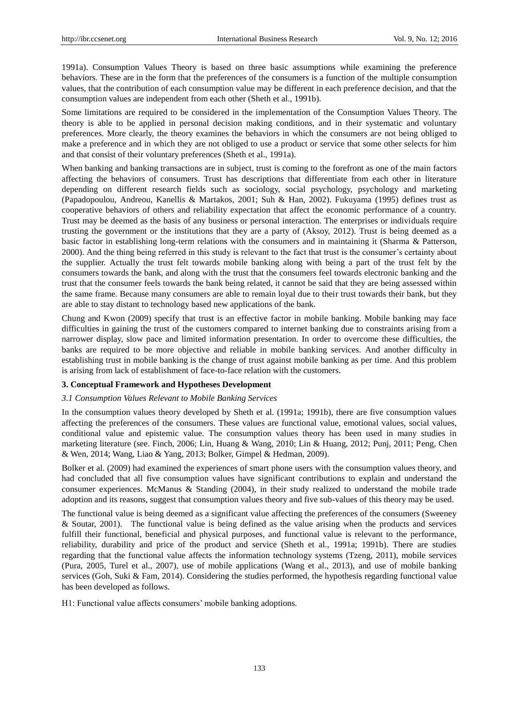1991a). Consumption Values Theory is based on three basic assumptions while examining the preference behaviors. These are in the form that the preferences of the consumers is a function of the multiple consumption values, that the contribution of each consumption value may be different in each preference decision, and that the consumption values are independent from each other (Sheth et al., 1991b).

Some limitations are required to be considered in the implementation of the Consumption Values Theory. The theory is able to be applied in personal decision making conditions, and in their systematic and voluntary preferences. More clearly, the theory examines the behaviors in which the consumers are not being obliged to make a preference and in which they are not obliged to use a product or service that some other selects for him and that consist of their voluntary preferences (Sheth et al., 1991a).

When banking and banking transactions are in subject, trust is coming to the forefront as one of the main factors affecting the behaviors of consumers. Trust has descriptions that differentiate from each other in literature depending on different research fields such as sociology, social psychology, psychology and marketing (Papadopoulou, Andreou, Kanellis & Martakos, 2001; Suh & Han, 2002). Fukuyama (1995) defines trust as cooperative behaviors of others and reliability expectation that affect the economic performance of a country. Trust may be deemed as the basis of any business or personal interaction. The enterprises or individuals require trusting the government or the institutions that they are a party of (Aksoy, 2012). Trust is being deemed as a basic factor in establishing long-term relations with the consumers and in maintaining it (Sharma & Patterson, 2000). And the thing being referred in this study is relevant to the fact that trust is the consumer's certainty about the supplier. Actually the trust felt towards mobile banking along with being a part of the trust felt by the consumers towards the bank, and along with the trust that the consumers feel towards electronic banking and the trust that the consumer feels towards the bank being related, it cannot be said that they are being assessed within the same frame. Because many consumers are able to remain loyal due to their trust towards their bank, but they are able to stay distant to technology based new applications of the bank.

Chung and Kwon (2009) specify that trust is an effective factor in mobile banking. Mobile banking may face difficulties in gaining the trust of the customers compared to internet banking due to constraints arising from a narrower display, slow pace and limited information presentation. In order to overcome these difficulties, the banks are required to be more objective and reliable in mobile banking services. And another difficulty in establishing trust in mobile banking is the change of trust against mobile banking as per time. And this problem is arising from lack of establishment of face-to-face relation with the customers.

# **3. Conceptual Framework and Hypotheses Development**

## *3.1 Consumption Values Relevant to Mobile Banking Services*

In the consumption values theory developed by Sheth et al. (1991a; 1991b), there are five consumption values affecting the preferences of the consumers. These values are functional value, emotional values, social values, conditional value and epistemic value. The consumption values theory has been used in many studies in marketing literature (see. Finch, 2006; Lin, Huang & Wang, 2010; Lin & Huang, 2012; Punj, 2011; Peng, Chen & Wen, 2014; Wang, Liao & Yang, 2013; Bolker, Gimpel & Hedman, 2009).

Bolker et al. (2009) had examined the experiences of smart phone users with the consumption values theory, and had concluded that all five consumption values have significant contributions to explain and understand the consumer experiences. McManus & Standing (2004), in their study realized to understand the mobile trade adoption and its reasons, suggest that consumption values theory and five sub-values of this theory may be used.

The functional value is being deemed as a significant value affecting the preferences of the consumers (Sweeney & Soutar, 2001). The functional value is being defined as the value arising when the products and services fulfill their functional, beneficial and physical purposes, and functional value is relevant to the performance, reliability, durability and price of the product and service (Sheth et al., 1991a; 1991b). There are studies regarding that the functional value affects the information technology systems (Tzeng, 2011), mobile services (Pura, 2005, Turel et al., 2007), use of mobile applications (Wang et al., 2013), and use of mobile banking services (Goh, Suki & Fam, 2014). Considering the studies performed, the hypothesis regarding functional value has been developed as follows.

H1: Functional value affects consumers' mobile banking adoptions.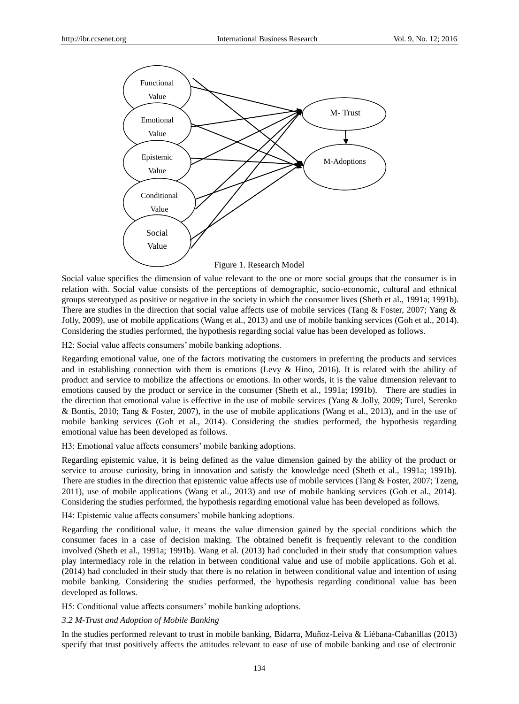

Social value specifies the dimension of value relevant to the one or more social groups that the consumer is in relation with. Social value consists of the perceptions of demographic, socio-economic, cultural and ethnical groups stereotyped as positive or negative in the society in which the consumer lives (Sheth et al., 1991a; 1991b). There are studies in the direction that social value affects use of mobile services (Tang & Foster, 2007; Yang & Jolly, 2009), use of mobile applications (Wang et al., 2013) and use of mobile banking services (Goh et al., 2014). Considering the studies performed, the hypothesis regarding social value has been developed as follows.

H2: Social value affects consumers' mobile banking adoptions.

Regarding emotional value, one of the factors motivating the customers in preferring the products and services and in establishing connection with them is emotions (Levy & Hino, 2016). It is related with the ability of product and service to mobilize the affections or emotions. In other words, it is the value dimension relevant to emotions caused by the product or service in the consumer (Sheth et al., 1991a; 1991b). There are studies in the direction that emotional value is effective in the use of mobile services (Yang & Jolly, 2009; Turel, Serenko & Bontis, 2010; Tang & Foster, 2007), in the use of mobile applications (Wang et al., 2013), and in the use of mobile banking services (Goh et al., 2014). Considering the studies performed, the hypothesis regarding emotional value has been developed as follows.

H3: Emotional value affects consumers' mobile banking adoptions.

Regarding epistemic value, it is being defined as the value dimension gained by the ability of the product or service to arouse curiosity, bring in innovation and satisfy the knowledge need (Sheth et al., 1991a; 1991b). There are studies in the direction that epistemic value affects use of mobile services (Tang & Foster, 2007; Tzeng, 2011), use of mobile applications (Wang et al., 2013) and use of mobile banking services (Goh et al., 2014). Considering the studies performed, the hypothesis regarding emotional value has been developed as follows.

H4: Epistemic value affects consumers' mobile banking adoptions.

Regarding the conditional value, it means the value dimension gained by the special conditions which the consumer faces in a case of decision making. The obtained benefit is frequently relevant to the condition involved (Sheth et al., 1991a; 1991b). Wang et al. (2013) had concluded in their study that consumption values play intermediacy role in the relation in between conditional value and use of mobile applications. Goh et al. (2014) had concluded in their study that there is no relation in between conditional value and intention of using mobile banking. Considering the studies performed, the hypothesis regarding conditional value has been developed as follows.

H5: Conditional value affects consumers' mobile banking adoptions.

# *3.2 M-Trust and Adoption of Mobile Banking*

In the studies performed relevant to trust in mobile banking, Bidarra, Muñoz-Leiva & Liébana-Cabanillas (2013) specify that trust positively affects the attitudes relevant to ease of use of mobile banking and use of electronic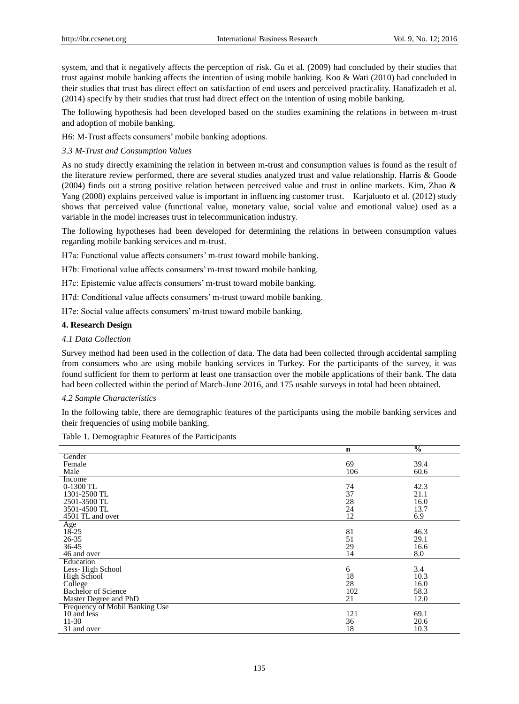system, and that it negatively affects the perception of risk. Gu et al. (2009) had concluded by their studies that trust against mobile banking affects the intention of using mobile banking. Koo & Wati (2010) had concluded in their studies that trust has direct effect on satisfaction of end users and perceived practicality. Hanafizadeh et al. (2014) specify by their studies that trust had direct effect on the intention of using mobile banking.

The following hypothesis had been developed based on the studies examining the relations in between m-trust and adoption of mobile banking.

H6: M-Trust affects consumers' mobile banking adoptions.

## *3.3 M-Trust and Consumption Values*

As no study directly examining the relation in between m-trust and consumption values is found as the result of the literature review performed, there are several studies analyzed trust and value relationship. Harris & Goode (2004) finds out a strong positive relation between perceived value and trust in online markets. Kim, Zhao & Yang (2008) explains perceived value is important in influencing customer trust. Karjaluoto et al. (2012) study shows that perceived value (functional value, monetary value, social value and emotional value) used as a variable in the model increases trust in telecommunication industry.

The following hypotheses had been developed for determining the relations in between consumption values regarding mobile banking services and m-trust.

H7a: Functional value affects consumers' m-trust toward mobile banking.

H7b: Emotional value affects consumers' m-trust toward mobile banking.

H7c: Epistemic value affects consumers' m-trust toward mobile banking.

H7d: Conditional value affects consumers' m-trust toward mobile banking.

H7e: Social value affects consumers' m-trust toward mobile banking.

## **4. Research Design**

## *4.1 Data Collection*

Survey method had been used in the collection of data. The data had been collected through accidental sampling from consumers who are using mobile banking services in Turkey. For the participants of the survey, it was found sufficient for them to perform at least one transaction over the mobile applications of their bank. The data had been collected within the period of March-June 2016, and 175 usable surveys in total had been obtained.

## *4.2 Sample Characteristics*

In the following table, there are demographic features of the participants using the mobile banking services and their frequencies of using mobile banking.

| $\mathbf n$                    | $\frac{0}{0}$ |      |
|--------------------------------|---------------|------|
| Gender                         |               |      |
| 69<br>Female                   |               | 39.4 |
| Male                           | 106           | 60.6 |
| Income                         |               |      |
| 0-1300 TL<br>74                |               | 42.3 |
| 37<br>1301-2500 TL             |               | 21.1 |
| 28<br>2501-3500 TL             |               | 16.0 |
| 24<br>3501-4500 TL             |               | 13.7 |
| 12<br>4501 TL and over         | 6.9           |      |
| Age                            |               |      |
| $18 - 25$<br>81                |               | 46.3 |
| $26 - 35$<br>51                |               | 29.1 |
| 29<br>$36 - 45$                |               | 16.6 |
| 46 and over<br>14              | 8.0           |      |
| Education                      |               |      |
| Less-High School<br>6          | 3.4           |      |
| 18<br>High School              |               | 10.3 |
| 28<br>College                  |               | 16.0 |
| 102<br>Bachelor of Science     |               | 58.3 |
| 21<br>Master Degree and PhD    |               | 12.0 |
| Frequency of Mobil Banking Use |               |      |
| 10 and less<br>121             |               | 69.1 |
| $11 - 30$<br>36                |               | 20.6 |
| 18<br>31 and over              |               | 10.3 |

# Table 1. Demographic Features of the Participants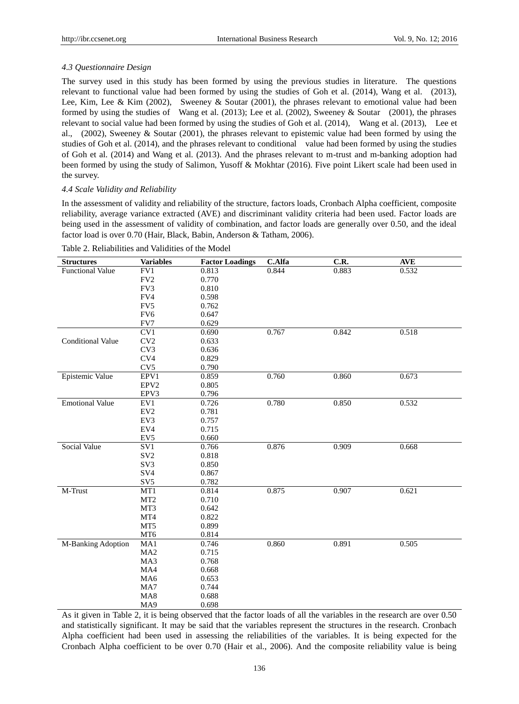# *4.3 Questionnaire Design*

The survey used in this study has been formed by using the previous studies in literature. The questions relevant to functional value had been formed by using the studies of Goh et al. (2014), Wang et al. (2013), Lee, Kim, Lee & Kim (2002), Sweeney & Soutar (2001), the phrases relevant to emotional value had been formed by using the studies of Wang et al. (2013); Lee et al. (2002), Sweeney & Soutar (2001), the phrases relevant to social value had been formed by using the studies of Goh et al. (2014), Wang et al. (2013), Lee et al., (2002), Sweeney & Soutar (2001), the phrases relevant to epistemic value had been formed by using the studies of Goh et al. (2014), and the phrases relevant to conditional value had been formed by using the studies of Goh et al. (2014) and Wang et al. (2013). And the phrases relevant to m-trust and m-banking adoption had been formed by using the study of Salimon, Yusoff & Mokhtar (2016). Five point Likert scale had been used in the survey.

# *4.4 Scale Validity and Reliability*

In the assessment of validity and reliability of the structure, factors loads, Cronbach Alpha coefficient, composite reliability, average variance extracted (AVE) and discriminant validity criteria had been used. Factor loads are being used in the assessment of validity of combination, and factor loads are generally over 0.50, and the ideal factor load is over 0.70 (Hair, Black, Babin, Anderson & Tatham, 2006).

| <b>Structures</b>        | <b>Variables</b> | <b>Factor Loadings</b> | <b>C.Alfa</b> | C.R.  | <b>AVE</b> |
|--------------------------|------------------|------------------------|---------------|-------|------------|
| <b>Functional Value</b>  | FV1              | 0.813                  | 0.844         | 0.883 | 0.532      |
|                          | $\rm FV2$        | 0.770                  |               |       |            |
|                          | FV3              | 0.810                  |               |       |            |
|                          | FV4              | 0.598                  |               |       |            |
|                          | FV5              | 0.762                  |               |       |            |
|                          | FV <sub>6</sub>  | 0.647                  |               |       |            |
|                          | FV7              | 0.629                  |               |       |            |
|                          | CV1              | 0.690                  | 0.767         | 0.842 | 0.518      |
| <b>Conditional Value</b> | CV2              | 0.633                  |               |       |            |
|                          | CV3              | 0.636                  |               |       |            |
|                          | CV4              | 0.829                  |               |       |            |
|                          | CV <sub>5</sub>  | 0.790                  |               |       |            |
| Epistemic Value          | EPV1             | 0.859                  | 0.760         | 0.860 | 0.673      |
|                          | EPV <sub>2</sub> | 0.805                  |               |       |            |
|                          | EPV3             | 0.796                  |               |       |            |
| <b>Emotional Value</b>   | EV1              | 0.726                  | 0.780         | 0.850 | 0.532      |
|                          | $\mathrm{EV}2$   | 0.781                  |               |       |            |
|                          | EV3              | 0.757                  |               |       |            |
|                          | EV4              | 0.715                  |               |       |            |
|                          | EV <sub>5</sub>  | 0.660                  |               |       |            |
| <b>Social Value</b>      | SV1              | 0.766                  | 0.876         | 0.909 | 0.668      |
|                          | SV <sub>2</sub>  | 0.818                  |               |       |            |
|                          | SV3              | 0.850                  |               |       |            |
|                          | SV <sub>4</sub>  | 0.867                  |               |       |            |
|                          | SV <sub>5</sub>  | 0.782                  |               |       |            |
| M-Trust                  | MT1              | 0.814                  | 0.875         | 0.907 | 0.621      |
|                          | MT2              | 0.710                  |               |       |            |
|                          | MT3              | 0.642                  |               |       |            |
|                          | MT4              | 0.822                  |               |       |            |
|                          | MT5              | 0.899                  |               |       |            |
|                          | MT6              | 0.814                  |               |       |            |
| M-Banking Adoption       | MA1              | 0.746                  | 0.860         | 0.891 | 0.505      |
|                          | MA2              | 0.715                  |               |       |            |
|                          | MA3              | 0.768                  |               |       |            |
|                          | MA4              | 0.668                  |               |       |            |
|                          | MA6              | 0.653                  |               |       |            |
|                          | MA7              | 0.744                  |               |       |            |
|                          | MA8              | 0.688                  |               |       |            |
|                          | MA9              | 0.698                  |               |       |            |

Table 2. Reliabilities and Validities of the Model

As it given in Table 2, it is being observed that the factor loads of all the variables in the research are over 0.50 and statistically significant. It may be said that the variables represent the structures in the research. Cronbach Alpha coefficient had been used in assessing the reliabilities of the variables. It is being expected for the Cronbach Alpha coefficient to be over 0.70 (Hair et al., 2006). And the composite reliability value is being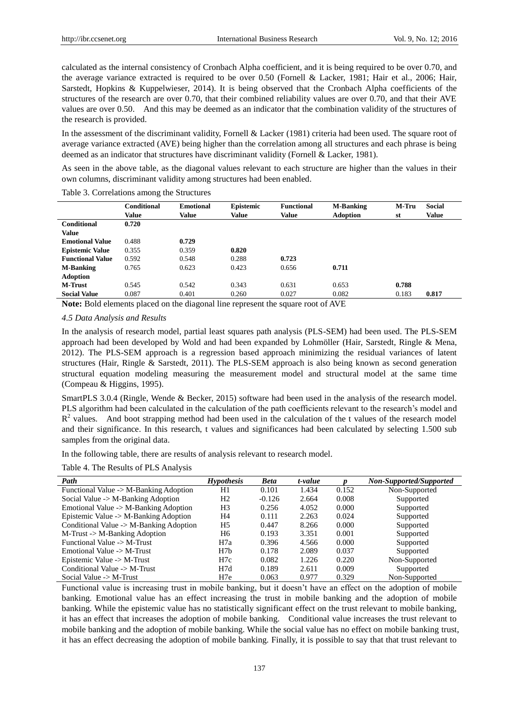calculated as the internal consistency of Cronbach Alpha coefficient, and it is being required to be over 0.70, and the average variance extracted is required to be over 0.50 (Fornell & Lacker, 1981; Hair et al., 2006; Hair, Sarstedt, Hopkins & Kuppelwieser, 2014). It is being observed that the Cronbach Alpha coefficients of the structures of the research are over 0.70, that their combined reliability values are over 0.70, and that their AVE values are over 0.50. And this may be deemed as an indicator that the combination validity of the structures of the research is provided.

In the assessment of the discriminant validity, Fornell & Lacker (1981) criteria had been used. The square root of average variance extracted (AVE) being higher than the correlation among all structures and each phrase is being deemed as an indicator that structures have discriminant validity (Fornell & Lacker, 1981).

As seen in the above table, as the diagonal values relevant to each structure are higher than the values in their own columns, discriminant validity among structures had been enabled.

|                         | Conditional | <b>Emotional</b> | Epistemic | <b>Functional</b>        | <b>M-Banking</b>                   | M-Tru | <b>Social</b> |  |
|-------------------------|-------------|------------------|-----------|--------------------------|------------------------------------|-------|---------------|--|
|                         | Value       | Value            | Value     | Value                    | <b>Adoption</b>                    | st    | Value         |  |
| <b>Conditional</b>      | 0.720       |                  |           |                          |                                    |       |               |  |
| Value                   |             |                  |           |                          |                                    |       |               |  |
| <b>Emotional Value</b>  | 0.488       | 0.729            |           |                          |                                    |       |               |  |
| <b>Epistemic Value</b>  | 0.355       | 0.359            | 0.820     |                          |                                    |       |               |  |
| <b>Functional Value</b> | 0.592       | 0.548            | 0.288     | 0.723                    |                                    |       |               |  |
| <b>M-Banking</b>        | 0.765       | 0.623            | 0.423     | 0.656                    | 0.711                              |       |               |  |
| <b>Adoption</b>         |             |                  |           |                          |                                    |       |               |  |
| <b>M-Trust</b>          | 0.545       | 0.542            | 0.343     | 0.631                    | 0.653                              | 0.788 |               |  |
| <b>Social Value</b>     | 0.087       | 0.401            | 0.260     | 0.027                    | 0.082                              | 0.183 | 0.817         |  |
| .                       |             | .<br>$\sim$      |           | $\overline{\phantom{a}}$ | $\sim$ $\sim$ $\sim$ $\sim$ $\sim$ |       |               |  |

Table 3. Correlations among the Structures

**Note:** Bold elements placed on the diagonal line represent the square root of AVE

## *4.5 Data Analysis and Results*

In the analysis of research model, partial least squares path analysis (PLS-SEM) had been used. The PLS-SEM approach had been developed by Wold and had been expanded by Lohmöller (Hair, Sarstedt, Ringle & Mena, 2012). The PLS-SEM approach is a regression based approach minimizing the residual variances of latent structures (Hair, Ringle & Sarstedt, 2011). The PLS-SEM approach is also being known as second generation structural equation modeling measuring the measurement model and structural model at the same time (Compeau & Higgins, 1995).

SmartPLS 3.0.4 (Ringle, Wende & Becker, 2015) software had been used in the analysis of the research model. PLS algorithm had been calculated in the calculation of the path coefficients relevant to the research's model and  $R<sup>2</sup>$  values. And boot strapping method had been used in the calculation of the t values of the research model and their significance. In this research, t values and significances had been calculated by selecting 1.500 sub samples from the original data.

In the following table, there are results of analysis relevant to research model.

Table 4. The Results of PLS Analysis

| Path                                    | <b>Hypothesis</b> | <b>Beta</b> | t-value |       | Non-Supported/Supported |
|-----------------------------------------|-------------------|-------------|---------|-------|-------------------------|
| Functional Value -> M-Banking Adoption  | H1                | 0.101       | 1.434   | 0.152 | Non-Supported           |
| Social Value -> M-Banking Adoption      | H <sub>2</sub>    | $-0.126$    | 2.664   | 0.008 | Supported               |
| Emotional Value -> M-Banking Adoption   | H <sub>3</sub>    | 0.256       | 4.052   | 0.000 | Supported               |
| Epistemic Value -> M-Banking Adoption   | H4                | 0.111       | 2.263   | 0.024 | Supported               |
| Conditional Value -> M-Banking Adoption | H5                | 0.447       | 8.266   | 0.000 | Supported               |
| M-Trust -> M-Banking Adoption           | H6                | 0.193       | 3.351   | 0.001 | Supported               |
| Functional Value -> M-Trust             | H7a               | 0.396       | 4.566   | 0.000 | Supported               |
| Emotional Value $\rightarrow$ M-Trust   | H7h               | 0.178       | 2.089   | 0.037 | Supported               |
| Epistemic Value -> M-Trust              | H7c               | 0.082       | 1.226   | 0.220 | Non-Supported           |
| Conditional Value $\rightarrow$ M-Trust | H7d               | 0.189       | 2.611   | 0.009 | Supported               |
| Social Value $\rightarrow$ M-Trust      | H <sub>7e</sub>   | 0.063       | 0.977   | 0.329 | Non-Supported           |

Functional value is increasing trust in mobile banking, but it doesn't have an effect on the adoption of mobile banking. Emotional value has an effect increasing the trust in mobile banking and the adoption of mobile banking. While the epistemic value has no statistically significant effect on the trust relevant to mobile banking, it has an effect that increases the adoption of mobile banking. Conditional value increases the trust relevant to mobile banking and the adoption of mobile banking. While the social value has no effect on mobile banking trust, it has an effect decreasing the adoption of mobile banking. Finally, it is possible to say that that trust relevant to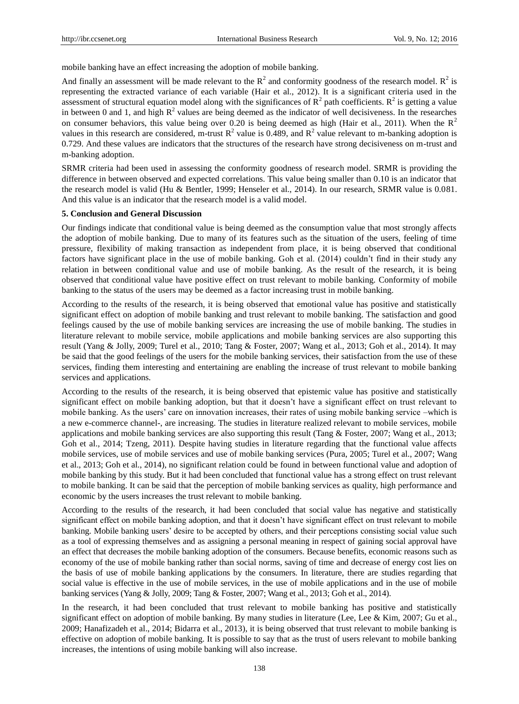mobile banking have an effect increasing the adoption of mobile banking.

And finally an assessment will be made relevant to the  $R^2$  and conformity goodness of the research model.  $R^2$  is representing the extracted variance of each variable (Hair et al., 2012). It is a significant criteria used in the assessment of structural equation model along with the significances of  $R^2$  path coefficients.  $R^2$  is getting a value in between 0 and 1, and high  $R^2$  values are being deemed as the indicator of well decisiveness. In the researches on consumer behaviors, this value being over 0.20 is being deemed as high (Hair et al., 2011). When the  $R^2$ values in this research are considered, m-trust  $R^2$  value is 0.489, and  $R^2$  value relevant to m-banking adoption is 0.729. And these values are indicators that the structures of the research have strong decisiveness on m-trust and m-banking adoption.

SRMR criteria had been used in assessing the conformity goodness of research model. SRMR is providing the difference in between observed and expected correlations. This value being smaller than 0.10 is an indicator that the research model is valid (Hu & Bentler, 1999; Henseler et al., 2014). In our research, SRMR value is 0.081. And this value is an indicator that the research model is a valid model.

## **5. Conclusion and General Discussion**

Our findings indicate that conditional value is being deemed as the consumption value that most strongly affects the adoption of mobile banking. Due to many of its features such as the situation of the users, feeling of time pressure, flexibility of making transaction as independent from place, it is being observed that conditional factors have significant place in the use of mobile banking. Goh et al. (2014) couldn't find in their study any relation in between conditional value and use of mobile banking. As the result of the research, it is being observed that conditional value have positive effect on trust relevant to mobile banking. Conformity of mobile banking to the status of the users may be deemed as a factor increasing trust in mobile banking.

According to the results of the research, it is being observed that emotional value has positive and statistically significant effect on adoption of mobile banking and trust relevant to mobile banking. The satisfaction and good feelings caused by the use of mobile banking services are increasing the use of mobile banking. The studies in literature relevant to mobile service, mobile applications and mobile banking services are also supporting this result (Yang & Jolly, 2009; Turel et al., 2010; Tang & Foster, 2007; Wang et al., 2013; Goh et al., 2014). It may be said that the good feelings of the users for the mobile banking services, their satisfaction from the use of these services, finding them interesting and entertaining are enabling the increase of trust relevant to mobile banking services and applications.

According to the results of the research, it is being observed that epistemic value has positive and statistically significant effect on mobile banking adoption, but that it doesn't have a significant effect on trust relevant to mobile banking. As the users' care on innovation increases, their rates of using mobile banking service –which is a new e-commerce channel-, are increasing. The studies in literature realized relevant to mobile services, mobile applications and mobile banking services are also supporting this result (Tang & Foster, 2007; Wang et al., 2013; Goh et al., 2014; Tzeng, 2011). Despite having studies in literature regarding that the functional value affects mobile services, use of mobile services and use of mobile banking services (Pura, 2005; Turel et al., 2007; Wang et al., 2013; Goh et al., 2014), no significant relation could be found in between functional value and adoption of mobile banking by this study. But it had been concluded that functional value has a strong effect on trust relevant to mobile banking. It can be said that the perception of mobile banking services as quality, high performance and economic by the users increases the trust relevant to mobile banking.

According to the results of the research, it had been concluded that social value has negative and statistically significant effect on mobile banking adoption, and that it doesn't have significant effect on trust relevant to mobile banking. Mobile banking users' desire to be accepted by others, and their perceptions consisting social value such as a tool of expressing themselves and as assigning a personal meaning in respect of gaining social approval have an effect that decreases the mobile banking adoption of the consumers. Because benefits, economic reasons such as economy of the use of mobile banking rather than social norms, saving of time and decrease of energy cost lies on the basis of use of mobile banking applications by the consumers. In literature, there are studies regarding that social value is effective in the use of mobile services, in the use of mobile applications and in the use of mobile banking services (Yang & Jolly, 2009; Tang & Foster, 2007; Wang et al., 2013; Goh et al., 2014).

In the research, it had been concluded that trust relevant to mobile banking has positive and statistically significant effect on adoption of mobile banking. By many studies in literature (Lee, Lee & Kim, 2007; Gu et al., 2009; Hanafizadeh et al., 2014; Bidarra et al., 2013), it is being observed that trust relevant to mobile banking is effective on adoption of mobile banking. It is possible to say that as the trust of users relevant to mobile banking increases, the intentions of using mobile banking will also increase.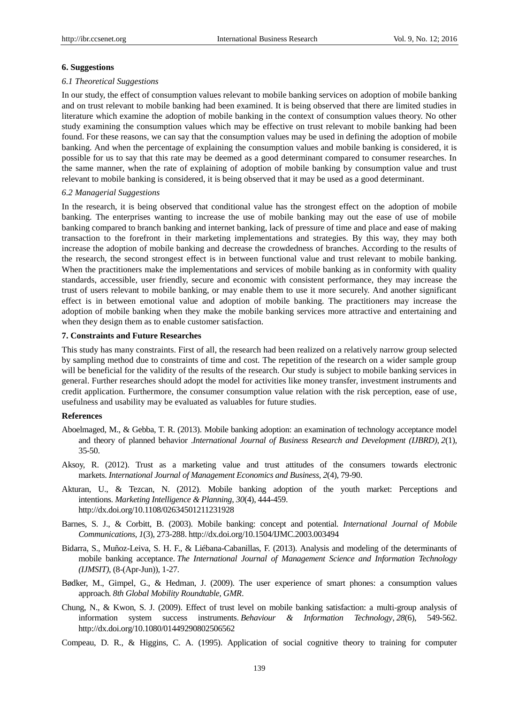## **6. Suggestions**

## *6.1 Theoretical Suggestions*

In our study, the effect of consumption values relevant to mobile banking services on adoption of mobile banking and on trust relevant to mobile banking had been examined. It is being observed that there are limited studies in literature which examine the adoption of mobile banking in the context of consumption values theory. No other study examining the consumption values which may be effective on trust relevant to mobile banking had been found. For these reasons, we can say that the consumption values may be used in defining the adoption of mobile banking. And when the percentage of explaining the consumption values and mobile banking is considered, it is possible for us to say that this rate may be deemed as a good determinant compared to consumer researches. In the same manner, when the rate of explaining of adoption of mobile banking by consumption value and trust relevant to mobile banking is considered, it is being observed that it may be used as a good determinant.

#### *6.2 Managerial Suggestions*

In the research, it is being observed that conditional value has the strongest effect on the adoption of mobile banking. The enterprises wanting to increase the use of mobile banking may out the ease of use of mobile banking compared to branch banking and internet banking, lack of pressure of time and place and ease of making transaction to the forefront in their marketing implementations and strategies. By this way, they may both increase the adoption of mobile banking and decrease the crowdedness of branches. According to the results of the research, the second strongest effect is in between functional value and trust relevant to mobile banking. When the practitioners make the implementations and services of mobile banking as in conformity with quality standards, accessible, user friendly, secure and economic with consistent performance, they may increase the trust of users relevant to mobile banking, or may enable them to use it more securely. And another significant effect is in between emotional value and adoption of mobile banking. The practitioners may increase the adoption of mobile banking when they make the mobile banking services more attractive and entertaining and when they design them as to enable customer satisfaction.

## **7. Constraints and Future Researches**

This study has many constraints. First of all, the research had been realized on a relatively narrow group selected by sampling method due to constraints of time and cost. The repetition of the research on a wider sample group will be beneficial for the validity of the results of the research. Our study is subject to mobile banking services in general. Further researches should adopt the model for activities like money transfer, investment instruments and credit application. Furthermore, the consumer consumption value relation with the risk perception, ease of use, usefulness and usability may be evaluated as valuables for future studies.

## **References**

- Aboelmaged, M., & Gebba, T. R. (2013). Mobile banking adoption: an examination of technology acceptance model and theory of planned behavior .*International Journal of Business Research and Development (IJBRD)*, *2*(1), 35-50.
- Aksoy, R. (2012). Trust as a marketing value and trust attitudes of the consumers towards electronic markets. *International Journal of Management Economics and Business*, *2*(4), 79-90.
- Akturan, U., & Tezcan, N. (2012). Mobile banking adoption of the youth market: Perceptions and intentions. *Marketing Intelligence & Planning*, *30*(4), 444-459. <http://dx.doi.org/10.1108/02634501211231928>
- Barnes, S. J., & Corbitt, B. (2003). Mobile banking: concept and potential. *International Journal of Mobile Communications*, *1*(3), 273-288[. http://dx.doi.org/10.1504/IJMC.2003.003494](http://dx.doi.org/10.1504/IJMC.2003.003494)
- Bidarra, S., Muñoz-Leiva, S. H. F., & Liébana-Cabanillas, F. (2013). Analysis and modeling of the determinants of mobile banking acceptance. *The International Journal of Management Science and Information Technology (IJMSIT)*, (8-(Apr-Jun)), 1-27.
- Bødker, M., Gimpel, G., & Hedman, J. (2009). The user experience of smart phones: a consumption values approach. *8th Global Mobility Roundtable, GMR*.
- Chung, N., & Kwon, S. J. (2009). Effect of trust level on mobile banking satisfaction: a multi-group analysis of information system success instruments. *Behaviour & Information Technology*, *28*(6), 549-562. http://dx.doi.org/10.1080/01449290802506562
- Compeau, D. R., & Higgins, C. A. (1995). Application of social cognitive theory to training for computer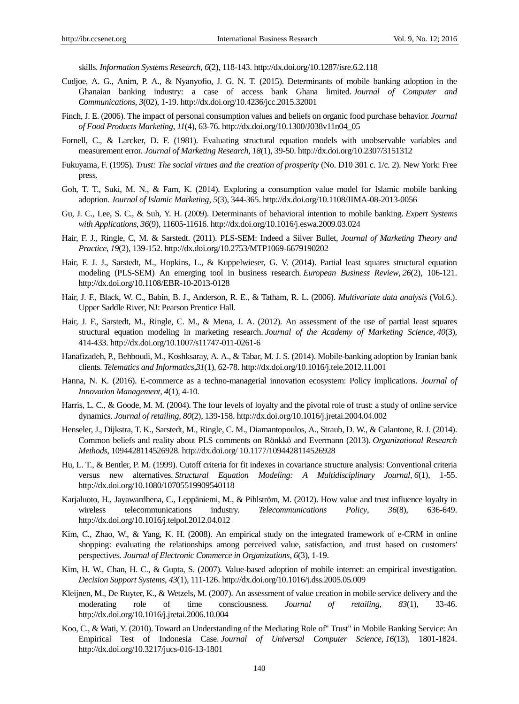skills. *Information Systems Research*, *6*(2), 118-143. http://dx.doi.org/10.1287/isre.6.2.118

- Cudjoe, A. G., Anim, P. A., & Nyanyofio, J. G. N. T. (2015). Determinants of mobile banking adoption in the Ghanaian banking industry: a case of access bank Ghana limited. *Journal of Computer and Communications*, *3*(02), 1-19. http://dx.doi.org/10.4236/jcc.2015.32001
- Finch, J. E. (2006). The impact of personal consumption values and beliefs on organic food purchase behavior. *Journal of Food Products Marketing*, *11*(4), 63-76. http://dx.doi.org/10.1300/J038v11n04\_05
- Fornell, C., & Larcker, D. F. (1981). Evaluating structural equation models with unobservable variables and measurement error. *Journal of Marketing Research, 18*(1), 39-50. http://dx.doi.org/10.2307/3151312
- Fukuyama, F. (1995). *Trust: The social virtues and the creation of prosperity* (No. D10 301 c. 1/c. 2). New York: Free press.
- Goh, T. T., Suki, M. N., & Fam, K. (2014). Exploring a consumption value model for Islamic mobile banking adoption. *Journal of Islamic Marketing*, *5*(3), 344-365. http://dx.doi.org/10.1108/JIMA-08-2013-0056
- Gu, J. C., Lee, S. C., & Suh, Y. H. (2009). Determinants of behavioral intention to mobile banking. *Expert Systems with Applications*, *36*(9), 11605-11616[. http://dx.doi.org/10.1016/j.eswa.2009.03.024](http://dx.doi.org/10.1016/j.eswa.2009.03.024)
- Hair, F. J., Ringle, C, M. & Sarstedt. (2011). PLS-SEM: Indeed a Silver Bullet, *Journal of Marketing Theory and Practice*, *19*(2), 139-152. http://dx.doi.org/10.2753/MTP1069-6679190202
- Hair, F. J. J., Sarstedt, M., Hopkins, L., & Kuppelwieser, G. V. (2014). Partial least squares structural equation modeling (PLS-SEM) An emerging tool in business research. *European Business Review*, *26*(2), 106-121. http://dx.doi.org/10.1108/EBR-10-2013-0128
- Hair, J. F., Black, W. C., Babin, B. J., Anderson, R. E., & Tatham, R. L. (2006). *Multivariate data analysis* (Vol.6.). Upper Saddle River, NJ: Pearson Prentice Hall.
- Hair, J. F., Sarstedt, M., Ringle, C. M., & Mena, J. A. (2012). An assessment of the use of partial least squares structural equation modeling in marketing research. *Journal of the Academy of Marketing Science*, *40*(3), 414-433. http://dx.doi.org/10.1007/s11747-011-0261-6
- Hanafizadeh, P., Behboudi, M., Koshksaray, A. A., & Tabar, M. J. S. (2014). Mobile-banking adoption by Iranian bank clients. *Telematics and Informatics*,*31*(1), 62-78. http://dx.doi.org/10.1016/j.tele.2012.11.001
- Hanna, N. K. (2016). E-commerce as a techno-managerial innovation ecosystem: Policy implications. *Journal of Innovation Management*, *4*(1), 4-10.
- Harris, L. C., & Goode, M. M. (2004). The four levels of loyalty and the pivotal role of trust: a study of online service dynamics. *Journal of retailing*, *80*(2), 139-158. http://dx.doi.org/10.1016/j.jretai.2004.04.002
- Henseler, J., Dijkstra, T. K., Sarstedt, M., Ringle, C. M., Diamantopoulos, A., Straub, D. W., & Calantone, R. J. (2014). Common beliefs and reality about PLS comments on Rönkkö and Evermann (2013). *Organizational Research Methods*, 1094428114526928. http://dx.doi.org/ 10.1177/1094428114526928
- Hu, L. T., & Bentler, P. M. (1999). Cutoff criteria for fit indexes in covariance structure analysis: Conventional criteria versus new alternatives. *Structural Equation Modeling: A Multidisciplinary Journal*, *6*(1), 1-55. http://dx.doi.org/10.1080/10705519909540118
- Karjaluoto, H., Jayawardhena, C., Leppäniemi, M., & Pihlström, M. (2012). How value and trust influence loyalty in wireless telecommunications industry. *Telecommunications Policy*, *36*(8), 636-649. http://dx.doi.org/10.1016/j.telpol.2012.04.012
- Kim, C., Zhao, W., & Yang, K. H. (2008). An empirical study on the integrated framework of e-CRM in online shopping: evaluating the relationships among perceived value, satisfaction, and trust based on customers' perspectives. *Journal of Electronic Commerce in Organizations*, *6*(3), 1-19.
- Kim, H. W., Chan, H. C., & Gupta, S. (2007). Value-based adoption of mobile internet: an empirical investigation. *Decision Support Systems*, *43*(1), 111-126. http://dx.doi.org/10.1016/j.dss.2005.05.009
- Kleijnen, M., De Ruyter, K., & Wetzels, M. (2007). An assessment of value creation in mobile service delivery and the moderating role of time consciousness. *Journal of retailing*, *83*(1), 33-46. http://dx.doi.org/10.1016/j.jretai.2006.10.004
- Koo, C., & Wati, Y. (2010). Toward an Understanding of the Mediating Role of" Trust" in Mobile Banking Service: An Empirical Test of Indonesia Case. *Journal of Universal Computer Science, 16*(13), 1801-1824. http://dx.doi.org/10.3217/jucs-016-13-1801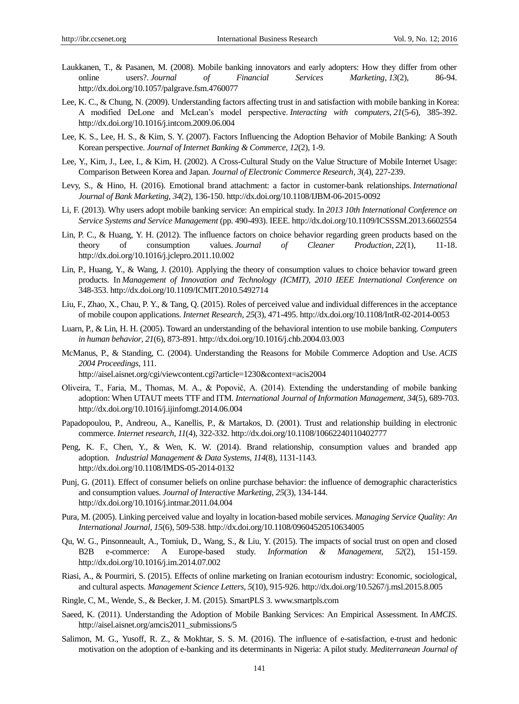- Laukkanen, T., & Pasanen, M. (2008). Mobile banking innovators and early adopters: How they differ from other online users?. *Journal of Financial Services Marketing*, *13*(2), 86-94. http://dx.doi.org/10.1057/palgrave.fsm.4760077
- Lee, K. C., & Chung, N. (2009). Understanding factors affecting trust in and satisfaction with mobile banking in Korea: A modified DeLone and McLean's model perspective. *Interacting with computers*, *21*(5-6), 385-392. http://dx.doi.org/10.1016/j.intcom.2009.06.004
- Lee, K. S., Lee, H. S., & Kim, S. Y. (2007). Factors Influencing the Adoption Behavior of Mobile Banking: A South Korean perspective. *[Journal of Internet Banking & Commerce,](javascript:__doLinkPostBack() 12*(2), 1-9.
- Lee, Y., Kim, J., Lee, I., & Kim, H. (2002). A Cross-Cultural Study on the Value Structure of Mobile Internet Usage: Comparison Between Korea and Japan. *Journal of Electronic Commerce Research, 3*(4), 227-239.
- Levy, S., & Hino, H. (2016). Emotional brand attachment: a factor in customer-bank relationships. *International Journal of Bank Marketing*, *34*(2), 136-150. http://dx.doi.org/10.1108/IJBM-06-2015-0092
- Li, F. (2013). Why users adopt mobile banking service: An empirical study. In *2013 10th International Conference on Service Systems and Service Management* (pp. 490-493). IEEE. http://dx.doi.org/10.1109/ICSSSM.2013.6602554
- Lin, P. C., & Huang, Y. H. (2012). The influence factors on choice behavior regarding green products based on the theory of consumption values. *Journal of Cleaner Production*, *22*(1), 11-18. http://dx.doi.org/10.1016/j.jclepro.2011.10.002
- Lin, P., Huang, Y., & Wang, J. (2010). Applying the theory of consumption values to choice behavior toward green products. In *Management of Innovation and Technology (ICMIT), 2010 IEEE International Conference on*  348-353. http://dx.doi.org/10.1109/ICMIT.2010.5492714
- Liu, F., Zhao, X., Chau, P. Y., & Tang, Q. (2015). Roles of perceived value and individual differences in the acceptance of mobile coupon applications. *Internet Research*, *25*(3), 471-495. http://dx.doi.org/10.1108/IntR-02-2014-0053
- Luarn, P., & Lin, H. H. (2005). Toward an understanding of the behavioral intention to use mobile banking. *Computers in human behavior*, *21*(6), 873-891. http://dx.doi.org/10.1016/j.chb.2004.03.003
- McManus, P., & Standing, C. (2004). Understanding the Reasons for Mobile Commerce Adoption and Use. *ACIS 2004 Proceedings*, 111. http://aisel.aisnet.org/cgi/viewcontent.cgi?article=1230&context=acis2004
- Oliveira, T., Faria, M., Thomas, M. A., & Popovič, A. (2014). Extending the understanding of mobile banking adoption: When UTAUT meets TTF and ITM. *International Journal of Information Management*, *34*(5), 689-703. http://dx.doi.org/10.1016/j.ijinfomgt.2014.06.004
- Papadopoulou, P., Andreou, A., Kanellis, P., & Martakos, D. (2001). Trust and relationship building in electronic commerce. *Internet research*, *11*(4), 322-332. http://dx.doi.org/10.1108/10662240110402777
- Peng, K. F., Chen, Y., & Wen, K. W. (2014). Brand relationship, consumption values and branded app adoption. *Industrial Management & Data Systems*, *114*(8), 1131-1143. http://dx.doi.org/10.1108/IMDS-05-2014-0132
- Punj, G. (2011). Effect of consumer beliefs on online purchase behavior: the influence of demographic characteristics and consumption values. *Journal of Interactive Marketing*, *25*(3), 134-144. http://dx.doi.org/10.1016/j.intmar.2011.04.004
- Pura, M. (2005). Linking perceived value and loyalty in location-based mobile services. *Managing Service Quality: An International Journal*, *15*(6), 509-538. http://dx.doi.org/10.1108/09604520510634005
- Qu, W. G., Pinsonneault, A., Tomiuk, D., Wang, S., & Liu, Y. (2015). The impacts of social trust on open and closed B2B e-commerce: A Europe-based study. *Information & Management*, *52*(2), 151-159. http://dx.doi.org/10.1016/j.im.2014.07.002
- Riasi, A., & Pourmiri, S. (2015). Effects of online marketing on Iranian ecotourism industry: Economic, sociological, and cultural aspects. *Management Science Letters*, *5*(10), 915-926. http://dx.doi.org/10.5267/j.msl.2015.8.005
- Ringle, C, M., Wende, S., & Becker, J. M. (2015). SmartPLS 3. www.smartpls.com
- Saeed, K. (2011). Understanding the Adoption of Mobile Banking Services: An Empirical Assessment. In *AMCIS*. http://aisel.aisnet.org/amcis2011\_submissions/5
- Salimon, M. G., Yusoff, R. Z., & Mokhtar, S. S. M. (2016). The influence of e-satisfaction, e-trust and hedonic motivation on the adoption of e-banking and its determinants in Nigeria: A pilot study. *Mediterranean Journal of*